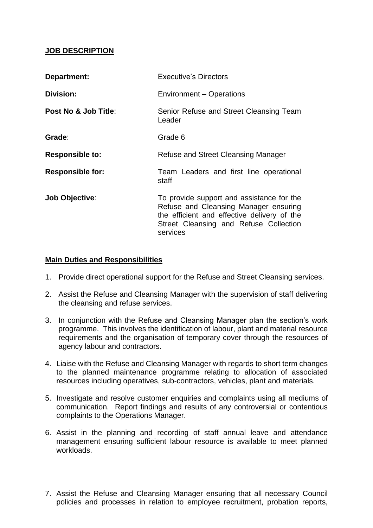#### **JOB DESCRIPTION**

| Department:             | <b>Executive's Directors</b>                                                                                                                                                            |
|-------------------------|-----------------------------------------------------------------------------------------------------------------------------------------------------------------------------------------|
| <b>Division:</b>        | Environment – Operations                                                                                                                                                                |
| Post No & Job Title:    | Senior Refuse and Street Cleansing Team<br>Leader                                                                                                                                       |
| Grade:                  | Grade 6                                                                                                                                                                                 |
| <b>Responsible to:</b>  | Refuse and Street Cleansing Manager                                                                                                                                                     |
| <b>Responsible for:</b> | Team Leaders and first line operational<br>staff                                                                                                                                        |
| <b>Job Objective:</b>   | To provide support and assistance for the<br>Refuse and Cleansing Manager ensuring<br>the efficient and effective delivery of the<br>Street Cleansing and Refuse Collection<br>services |

#### **Main Duties and Responsibilities**

- 1. Provide direct operational support for the Refuse and Street Cleansing services.
- 2. Assist the Refuse and Cleansing Manager with the supervision of staff delivering the cleansing and refuse services.
- requirements and the organisation of temporary cover through the resources of 3. In conjunction with the Refuse and Cleansing Manager plan the section's work programme. This involves the identification of labour, plant and material resource agency labour and contractors.
- 4. Liaise with the Refuse and Cleansing Manager with regards to short term changes to the planned maintenance programme relating to allocation of associated resources including operatives, sub-contractors, vehicles, plant and materials.
- 5. Investigate and resolve customer enquiries and complaints using all mediums of communication. Report findings and results of any controversial or contentious complaints to the Operations Manager.
- 6. Assist in the planning and recording of staff annual leave and attendance management ensuring sufficient labour resource is available to meet planned workloads.
- 7. Assist the Refuse and Cleansing Manager ensuring that all necessary Council policies and processes in relation to employee recruitment, probation reports,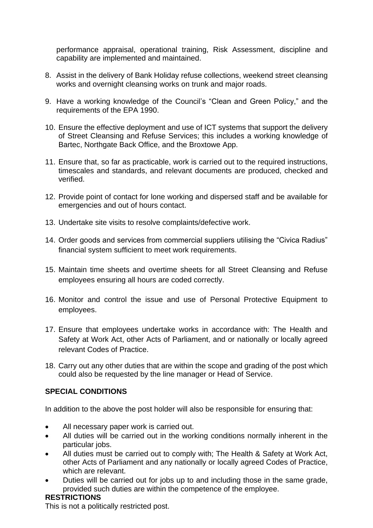performance appraisal, operational training, Risk Assessment, discipline and capability are implemented and maintained.

- 8. Assist in the delivery of Bank Holiday refuse collections, weekend street cleansing works and overnight cleansing works on trunk and major roads.
- 9. Have a working knowledge of the Council's "Clean and Green Policy," and the requirements of the EPA 1990.
- 10. Ensure the effective deployment and use of ICT systems that support the delivery of Street Cleansing and Refuse Services; this includes a working knowledge of Bartec, Northgate Back Office, and the Broxtowe App.
- 11. Ensure that, so far as practicable, work is carried out to the required instructions, timescales and standards, and relevant documents are produced, checked and verified.
- 12. Provide point of contact for lone working and dispersed staff and be available for emergencies and out of hours contact.
- 13. Undertake site visits to resolve complaints/defective work.
- 14. Order goods and services from commercial suppliers utilising the "Civica Radius" financial system sufficient to meet work requirements.
- 15. Maintain time sheets and overtime sheets for all Street Cleansing and Refuse employees ensuring all hours are coded correctly.
- 16. Monitor and control the issue and use of Personal Protective Equipment to employees.
- 17. Ensure that employees undertake works in accordance with: The Health and Safety at Work Act, other Acts of Parliament, and or nationally or locally agreed relevant Codes of Practice.
- 18. Carry out any other duties that are within the scope and grading of the post which could also be requested by the line manager or Head of Service.

## **SPECIAL CONDITIONS**

In addition to the above the post holder will also be responsible for ensuring that:

- All necessary paper work is carried out.
- All duties will be carried out in the working conditions normally inherent in the particular jobs.
- All duties must be carried out to comply with; The Health & Safety at Work Act, other Acts of Parliament and any nationally or locally agreed Codes of Practice, which are relevant.
- Duties will be carried out for jobs up to and including those in the same grade, provided such duties are within the competence of the employee.

## **RESTRICTIONS**

This is not a politically restricted post.